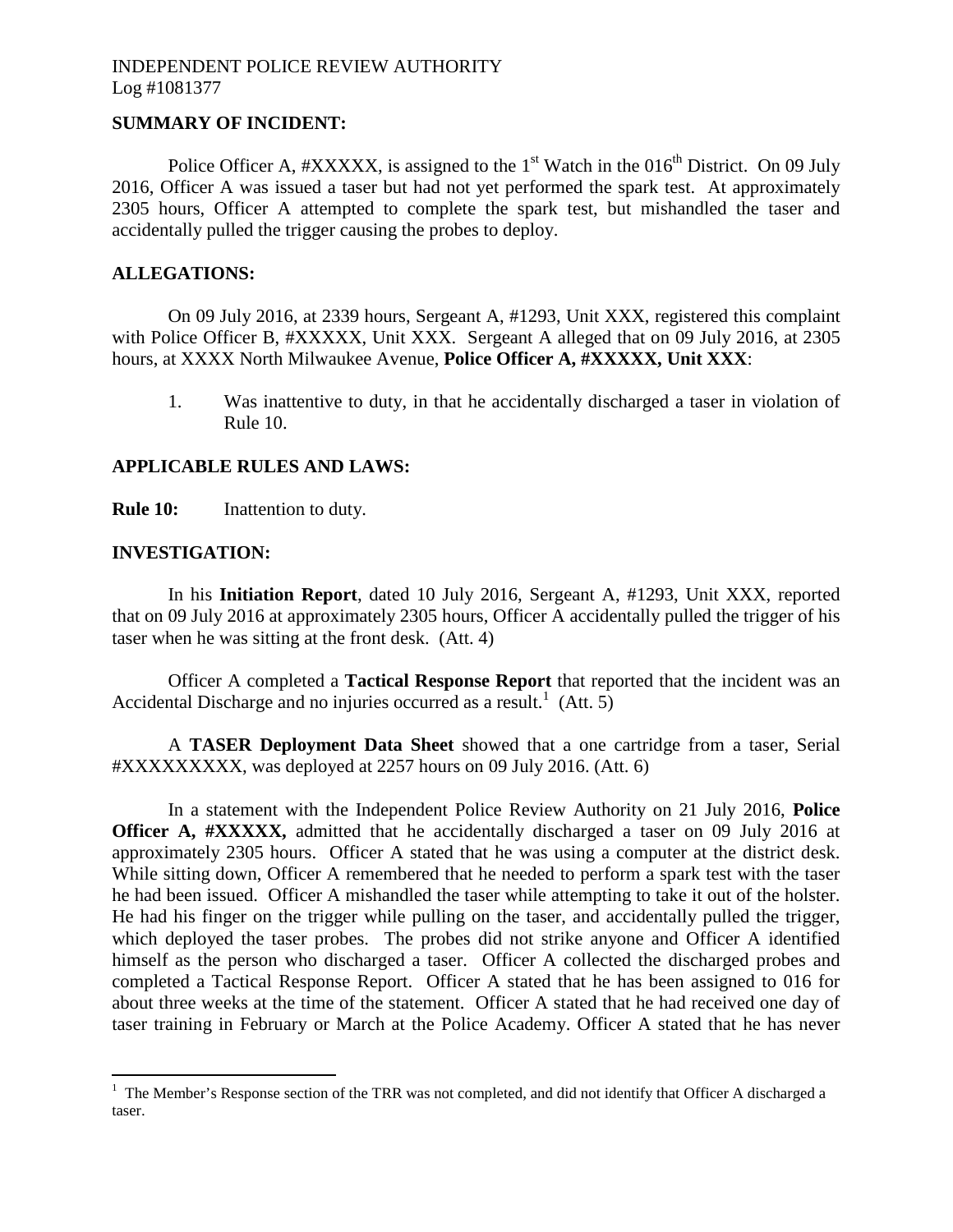# INDEPENDENT POLICE REVIEW AUTHORITY Log #1081377

## **SUMMARY OF INCIDENT:**

Police Officer A,  $\#XXXXX$ , is assigned to the 1<sup>st</sup> Watch in the 016<sup>th</sup> District. On 09 July 2016, Officer A was issued a taser but had not yet performed the spark test. At approximately 2305 hours, Officer A attempted to complete the spark test, but mishandled the taser and accidentally pulled the trigger causing the probes to deploy.

### **ALLEGATIONS:**

On 09 July 2016, at 2339 hours, Sergeant A, #1293, Unit XXX, registered this complaint with Police Officer B, #XXXXX, Unit XXX. Sergeant A alleged that on 09 July 2016, at 2305 hours, at XXXX North Milwaukee Avenue, **Police Officer A, #XXXXX, Unit XXX**:

1. Was inattentive to duty, in that he accidentally discharged a taser in violation of Rule 10.

### **APPLICABLE RULES AND LAWS:**

**Rule 10:** Inattention to duty.

### **INVESTIGATION:**

In his **Initiation Report**, dated 10 July 2016, Sergeant A, #1293, Unit XXX, reported that on 09 July 2016 at approximately 2305 hours, Officer A accidentally pulled the trigger of his taser when he was sitting at the front desk. (Att. 4)

Officer A completed a **Tactical Response Report** that reported that the incident was an Accidental Discharge and no injuries occurred as a result.<sup>[1](#page-0-0)</sup> (Att. 5)

A **TASER Deployment Data Sheet** showed that a one cartridge from a taser, Serial #XXXXXXXXX, was deployed at 2257 hours on 09 July 2016. (Att. 6)

In a statement with the Independent Police Review Authority on 21 July 2016, **Police Officer A, #XXXXX,** admitted that he accidentally discharged a taser on 09 July 2016 at approximately 2305 hours. Officer A stated that he was using a computer at the district desk. While sitting down, Officer A remembered that he needed to perform a spark test with the taser he had been issued. Officer A mishandled the taser while attempting to take it out of the holster. He had his finger on the trigger while pulling on the taser, and accidentally pulled the trigger, which deployed the taser probes. The probes did not strike anyone and Officer A identified himself as the person who discharged a taser. Officer A collected the discharged probes and completed a Tactical Response Report. Officer A stated that he has been assigned to 016 for about three weeks at the time of the statement. Officer A stated that he had received one day of taser training in February or March at the Police Academy. Officer A stated that he has never

<span id="page-0-0"></span><sup>&</sup>lt;sup>1</sup> The Member's Response section of the TRR was not completed, and did not identify that Officer A discharged a taser.